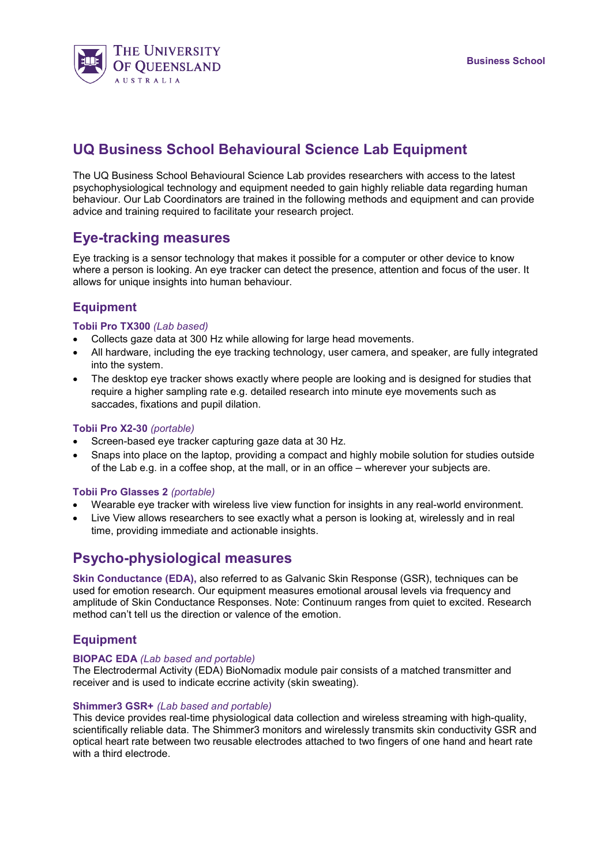

# **UQ Business School Behavioural Science Lab Equipment**

The UQ Business School Behavioural Science Lab provides researchers with access to the latest psychophysiological technology and equipment needed to gain highly reliable data regarding human behaviour. Our Lab Coordinators are trained in the following methods and equipment and can provide advice and training required to facilitate your research project.

## **Eye-tracking measures**

Eye tracking is a sensor technology that makes it possible for a computer or other device to know where a person is looking. An eye tracker can detect the presence, attention and focus of the user. It allows for unique insights into human behaviour.

### **Equipment**

#### **Tobii Pro TX300** *(Lab based)*

- Collects gaze data at 300 Hz while allowing for large head movements.
- All hardware, including the eye tracking technology, user camera, and speaker, are fully integrated into the system.
- The desktop eye tracker shows exactly where people are looking and is designed for studies that require a higher sampling rate e.g. detailed research into minute eye movements such as saccades, fixations and pupil dilation.

#### **Tobii Pro X2-30** *(portable)*

- Screen-based eye tracker capturing gaze data at 30 Hz.
- Snaps into place on the laptop, providing a compact and highly mobile solution for studies outside of the Lab e.g. in a coffee shop, at the mall, or in an office – wherever your subjects are.

#### **Tobii Pro Glasses 2** *(portable)*

- Wearable eye tracker with wireless live view function for insights in any real-world environment.
- Live View allows researchers to see exactly what a person is looking at, wirelessly and in real time, providing immediate and actionable insights.

## **Psycho-physiological measures**

**Skin Conductance (EDA),** also referred to as Galvanic Skin Response (GSR), techniques can be used for emotion research. Our equipment measures emotional arousal levels via frequency and amplitude of Skin Conductance Responses. Note: Continuum ranges from quiet to excited. Research method can't tell us the direction or valence of the emotion.

### **Equipment**

#### **BIOPAC EDA** *(Lab based and portable)*

The Electrodermal Activity (EDA) BioNomadix module pair consists of a matched transmitter and receiver and is used to indicate eccrine activity (skin sweating).

#### **Shimmer3 GSR+** *(Lab based and portable)*

This device provides real-time physiological data collection and wireless streaming with high-quality, scientifically reliable data. The Shimmer3 monitors and wirelessly transmits skin conductivity GSR and optical heart rate between two reusable electrodes attached to two fingers of one hand and heart rate with a third electrode.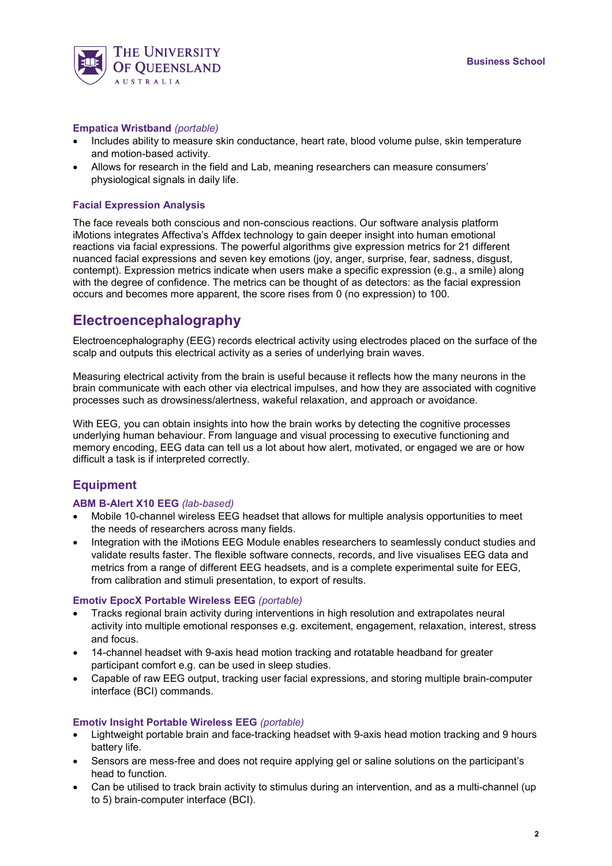

#### **Empatica Wristband** *(portable)*

- Includes ability to measure skin conductance, heart rate, blood volume pulse, skin temperature and motion-based activity.
- Allows for research in the field and Lab, meaning researchers can measure consumers' physiological signals in daily life.

#### **Facial Expression Analysis**

The face reveals both conscious and non-conscious reactions. Our software analysis platform iMotions integrates Affectiva's Affdex technology to gain deeper insight into human emotional reactions via facial expressions. The powerful algorithms give expression metrics for 21 different nuanced facial expressions and seven key emotions (joy, anger, surprise, fear, sadness, disgust, contempt). Expression metrics indicate when users make a specific expression (e.g., a smile) along with the degree of confidence. The metrics can be thought of as detectors: as the facial expression occurs and becomes more apparent, the score rises from 0 (no expression) to 100.

## **Electroencephalography**

Electroencephalography (EEG) records electrical activity using electrodes placed on the surface of the scalp and outputs this electrical activity as a series of underlying brain waves.

Measuring electrical activity from the brain is useful because it reflects how the many neurons in the brain communicate with each other via electrical impulses, and how they are associated with cognitive processes such as drowsiness/alertness, wakeful relaxation, and approach or avoidance.

With EEG, you can obtain insights into how the brain works by detecting the cognitive processes underlying human behaviour. From language and visual processing to executive functioning and memory encoding, EEG data can tell us a lot about how alert, motivated, or engaged we are or how difficult a task is if interpreted correctly.

### **Equipment**

#### **ABM B-Alert X10 EEG** *(lab-based)*

- Mobile 10-channel wireless EEG headset that allows for multiple analysis opportunities to meet the needs of researchers across many fields.
- Integration with the iMotions EEG Module enables researchers to seamlessly conduct studies and validate results faster. The flexible software connects, records, and live visualises EEG data and metrics from a range of different EEG headsets, and is a complete experimental suite for EEG, from calibration and stimuli presentation, to export of results.

#### **Emotiv EpocX Portable Wireless EEG** *(portable)*

- Tracks regional brain activity during interventions in high resolution and extrapolates neural activity into multiple emotional responses e.g. excitement, engagement, relaxation, interest, stress and focus.
- 14-channel headset with 9-axis head motion tracking and rotatable headband for greater participant comfort e.g. can be used in sleep studies.
- Capable of raw EEG output, tracking user facial expressions, and storing multiple brain-computer interface (BCI) commands.

#### **Emotiv Insight Portable Wireless EEG** *(portable)*

- Lightweight portable brain and face-tracking headset with 9-axis head motion tracking and 9 hours battery life.
- Sensors are mess-free and does not require applying gel or saline solutions on the participant's head to function.
- Can be utilised to track brain activity to stimulus during an intervention, and as a multi-channel (up to 5) brain-computer interface (BCI).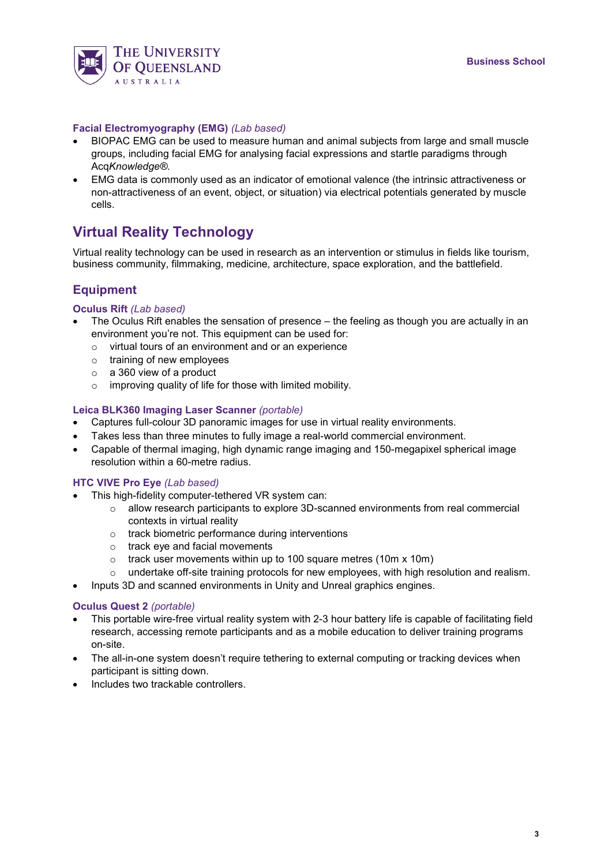

#### **Facial Electromyography (EMG)** *(Lab based)*

- BIOPAC EMG can be used to measure human and animal subjects from large and small muscle groups, including facial EMG for analysing facial expressions and startle paradigms through Acq*Knowledge®.*
- EMG data is commonly used as an indicator of emotional valence (the intrinsic attractiveness or non-attractiveness of an event, object, or situation) via electrical potentials generated by muscle cells.

# **Virtual Reality Technology**

Virtual reality technology can be used in research as an intervention or stimulus in fields like tourism, business community, filmmaking, medicine, architecture, space exploration, and the battlefield.

### **Equipment**

#### **Oculus Rift** *(Lab based)*

- The Oculus Rift enables the sensation of presence the feeling as though you are actually in an environment you're not. This equipment can be used for:
	- $\circ$  virtual tours of an environment and or an experience
	- o training of new employees
	- o a 360 view of a product
	- o improving quality of life for those with limited mobility.

#### **Leica BLK360 Imaging Laser Scanner** *(portable)*

- Captures full-colour 3D panoramic images for use in virtual reality environments.
- Takes less than three minutes to fully image a real-world commercial environment.
- Capable of thermal imaging, high dynamic range imaging and 150-megapixel spherical image resolution within a 60-metre radius.

#### **HTC VIVE Pro Eye** *(Lab based)*

- This high-fidelity computer-tethered VR system can:
	- $\circ$  allow research participants to explore 3D-scanned environments from real commercial contexts in virtual reality
	- o track biometric performance during interventions
	- o track eye and facial movements
	- $\circ$  track user movements within up to 100 square metres (10m x 10m)
	- o undertake off-site training protocols for new employees, with high resolution and realism.
- Inputs 3D and scanned environments in Unity and Unreal graphics engines.

#### **Oculus Quest 2** *(portable)*

- This portable wire-free virtual reality system with 2-3 hour battery life is capable of facilitating field research, accessing remote participants and as a mobile education to deliver training programs on-site.
- The all-in-one system doesn't require tethering to external computing or tracking devices when participant is sitting down.
- Includes two trackable controllers.